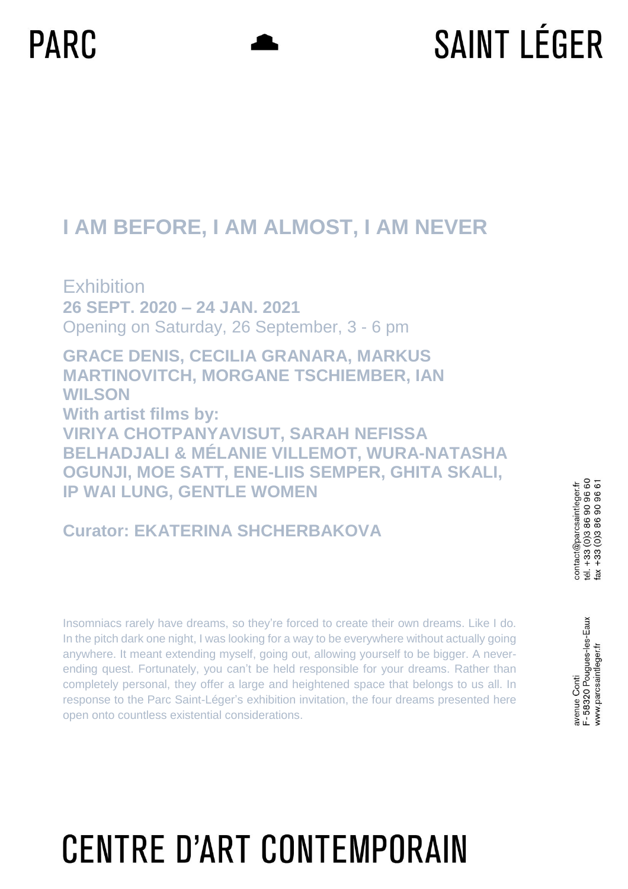# **SAINT LÉGER**

#### **I AM BEFORE, I AM ALMOST, I AM NEVER**

**Exhibition 26 SEPT. 2020 – 24 JAN. 2021** Opening on Saturday, 26 September, 3 - 6 pm

**GRACE DENIS, CECILIA GRANARA, MARKUS MARTINOVITCH, MORGANE TSCHIEMBER, IAN WILSON With artist films by: VIRIYA CHOTPANYAVISUT, SARAH NEFISSA BELHADJALI & MÉLANIE VILLEMOT, WURA-NATASHA OGUNJI, MOE SATT, ENE-LIIS SEMPER, GHITA SKALI, IP WAI LUNG, GENTLE WOMEN**

#### **Curator: EKATERINA SHCHERBAKOVA**

Insomniacs rarely have dreams, so they're forced to create their own dreams. Like I do. In the pitch dark one night, I was looking for a way to be everywhere without actually going anywhere. It meant extending myself, going out, allowing yourself to be bigger. A neverending quest. Fortunately, you can't be held responsible for your dreams. Rather than completely personal, they offer a large and heightened space that belongs to us all. In response to the Parc Saint-Léger's exhibition invitation, the four dreams presented here open onto countless existential considerations.

F-58320 Pougues-les-Eaux www.parcsaintleger.fr avenue Conti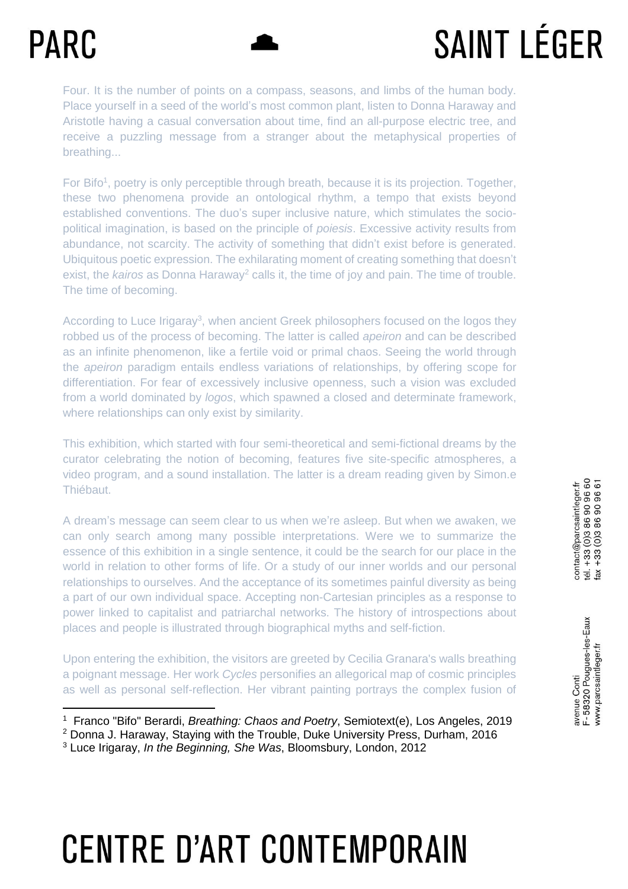$\overline{a}$ 

# **SAINT LÉGER**

Four. It is the number of points on a compass, seasons, and limbs of the human body. Place yourself in a seed of the world's most common plant, listen to Donna Haraway and Aristotle having a casual conversation about time, find an all-purpose electric tree, and receive a puzzling message from a stranger about the metaphysical properties of breathing...

For Bifo<sup>1</sup>, poetry is only perceptible through breath, because it is its projection. Together, these two phenomena provide an ontological rhythm, a tempo that exists beyond established conventions. The duo's super inclusive nature, which stimulates the sociopolitical imagination, is based on the principle of *poiesis*. Excessive activity results from abundance, not scarcity. The activity of something that didn't exist before is generated. Ubiquitous poetic expression. The exhilarating moment of creating something that doesn't exist, the *kairos* as Donna Haraway<sup>2</sup> calls it, the time of joy and pain. The time of trouble. The time of becoming.

According to Luce Irigaray<sup>3</sup>, when ancient Greek philosophers focused on the logos they robbed us of the process of becoming. The latter is called *apeiron* and can be described as an infinite phenomenon, like a fertile void or primal chaos. Seeing the world through the *apeiron* paradigm entails endless variations of relationships, by offering scope for differentiation. For fear of excessively inclusive openness, such a vision was excluded from a world dominated by *logos*, which spawned a closed and determinate framework, where relationships can only exist by similarity.

This exhibition, which started with four semi-theoretical and semi-fictional dreams by the curator celebrating the notion of becoming, features five site-specific atmospheres, a video program, and a sound installation. The latter is a dream reading given by Simon.e Thiébaut.

A dream's message can seem clear to us when we're asleep. But when we awaken, we can only search among many possible interpretations. Were we to summarize the essence of this exhibition in a single sentence, it could be the search for our place in the world in relation to other forms of life. Or a study of our inner worlds and our personal relationships to ourselves. And the acceptance of its sometimes painful diversity as being a part of our own individual space. Accepting non-Cartesian principles as a response to power linked to capitalist and patriarchal networks. The history of introspections about places and people is illustrated through biographical myths and self-fiction.

Upon entering the exhibition, the visitors are greeted by Cecilia Granara's walls breathing a poignant message. Her work *Cycles* personifies an allegorical map of cosmic principles as well as personal self-reflection. Her vibrant painting portrays the complex fusion of

<sup>1</sup> Franco "Bifo" Berardi, *Breathing: Chaos and Poetry*, Semiotext(e), Los Angeles, 2019

<sup>2</sup> Donna J. Haraway, Staying with the Trouble, Duke University Press, Durham, 2016

<sup>3</sup> Luce Irigaray, *In the Beginning, She Was*, Bloomsbury, London, 2012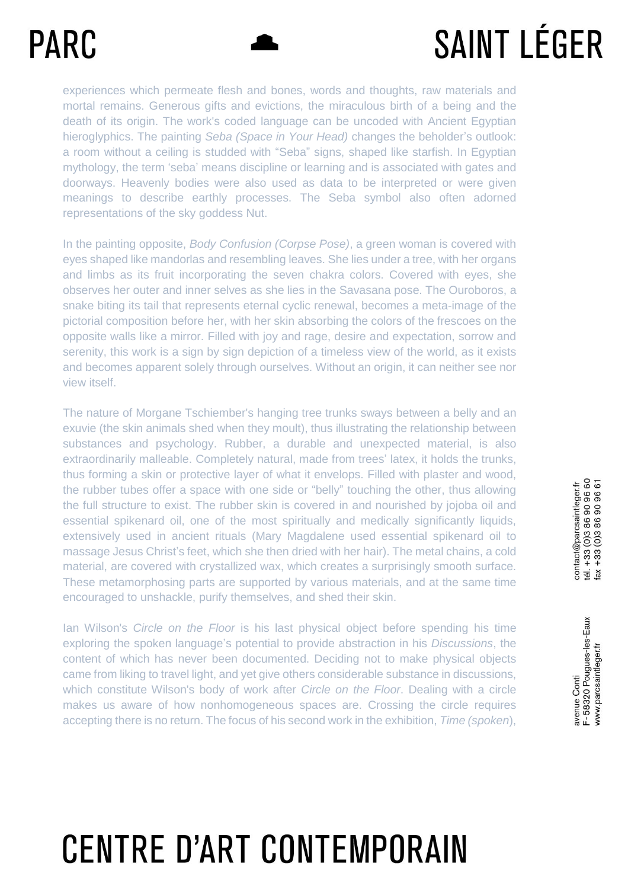# **SAINT LÉGER**

experiences which permeate flesh and bones, words and thoughts, raw materials and mortal remains. Generous gifts and evictions, the miraculous birth of a being and the death of its origin. The work's coded language can be uncoded with Ancient Egyptian hieroglyphics. The painting *Seba (Space in Your Head)* changes the beholder's outlook: a room without a ceiling is studded with "Seba" signs, shaped like starfish. In Egyptian mythology, the term 'seba' means discipline or learning and is associated with gates and doorways. Heavenly bodies were also used as data to be interpreted or were given meanings to describe earthly processes. The Seba symbol also often adorned representations of the sky goddess Nut.

In the painting opposite, *Body Confusion (Corpse Pose)*, a green woman is covered with eyes shaped like mandorlas and resembling leaves. She lies under a tree, with her organs and limbs as its fruit incorporating the seven chakra colors. Covered with eyes, she observes her outer and inner selves as she lies in the Savasana pose. The Ouroboros, a snake biting its tail that represents eternal cyclic renewal, becomes a meta-image of the pictorial composition before her, with her skin absorbing the colors of the frescoes on the opposite walls like a mirror. Filled with joy and rage, desire and expectation, sorrow and serenity, this work is a sign by sign depiction of a timeless view of the world, as it exists and becomes apparent solely through ourselves. Without an origin, it can neither see nor view itself.

The nature of Morgane Tschiember's hanging tree trunks sways between a belly and an exuvie (the skin animals shed when they moult), thus illustrating the relationship between substances and psychology. Rubber, a durable and unexpected material, is also extraordinarily malleable. Completely natural, made from trees' latex, it holds the trunks, thus forming a skin or protective layer of what it envelops. Filled with plaster and wood, the rubber tubes offer a space with one side or "belly" touching the other, thus allowing the full structure to exist. The rubber skin is covered in and nourished by jojoba oil and essential spikenard oil, one of the most spiritually and medically significantly liquids, extensively used in ancient rituals (Mary Magdalene used essential spikenard oil to massage Jesus Christ's feet, which she then dried with her hair). The metal chains, a cold material, are covered with crystallized wax, which creates a surprisingly smooth surface. These metamorphosing parts are supported by various materials, and at the same time encouraged to unshackle, purify themselves, and shed their skin.

Ian Wilson's *Circle on the Floor* is his last physical object before spending his time exploring the spoken language's potential to provide abstraction in his *Discussions*, the content of which has never been documented. Deciding not to make physical objects came from liking to travel light, and yet give others considerable substance in discussions, which constitute Wilson's body of work after *Circle on the Floor*. Dealing with a circle makes us aware of how nonhomogeneous spaces are. Crossing the circle requires accepting there is no return. The focus of his second work in the exhibition, *Time (spoken*),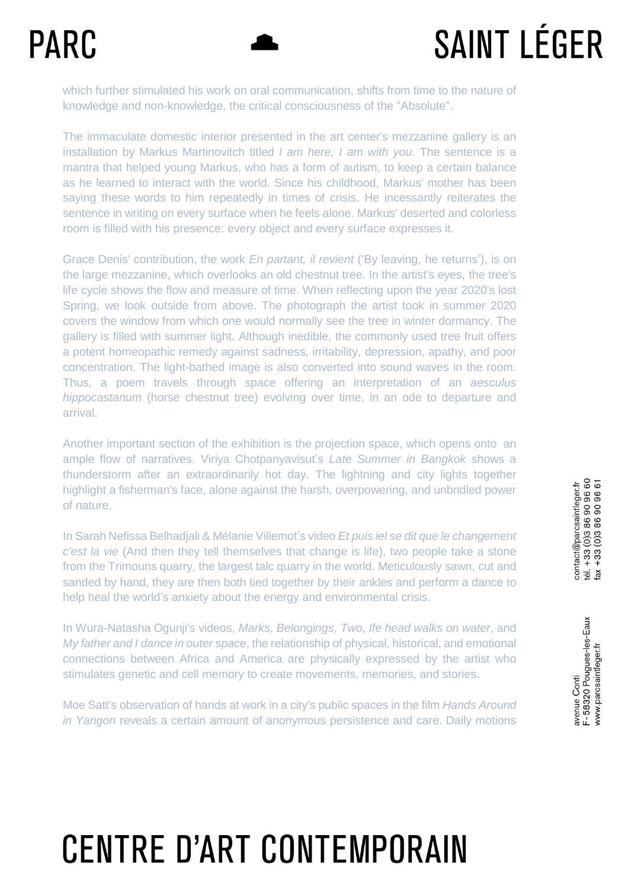# **SAINT LÉGER**

which further stimulated his work on oral communication, shifts from time to the nature of knowledge and non-knowledge, the critical consciousness of the "Absolute".

The immaculate domestic interior presented in the art center's mezzanine gallery is an installation by Markus Martinovitch titled *I am here, I am with you*. The sentence is a mantra that helped young Markus, who has a form of autism, to keep a certain balance as he learned to interact with the world. Since his childhood, Markus' mother has been saying these words to him repeatedly in times of crisis. He incessantly reiterates the sentence in writing on every surface when he feels alone. Markus' deserted and colorless room is filled with his presence: every object and every surface expresses it.

Grace Denis' contribution, the work *En partant, il revient* ('By leaving, he returns'), is on the large mezzanine, which overlooks an old chestnut tree. In the artist's eyes, the tree's life cycle shows the flow and measure of time. When reflecting upon the year 2020's lost Spring, we look outside from above. The photograph the artist took in summer 2020 covers the window from which one would normally see the tree in winter dormancy. The gallery is filled with summer light. Although inedible, the commonly used tree fruit offers a potent homeopathic remedy against sadness, irritability, depression, apathy, and poor concentration. The light-bathed image is also converted into sound waves in the room. Thus, a poem travels through space offering an interpretation of an *aesculus hippocastanum* (horse chestnut tree) evolving over time, in an ode to departure and arrival.

Another important section of the exhibition is the projection space, which opens onto an ample flow of narratives. Viriya Chotpanyavisut's *Late Summer in Bangkok* shows a thunderstorm after an extraordinarily hot day. The lightning and city lights together highlight a fisherman's face, alone against the harsh, overpowering, and unbridled power of nature.

In Sarah Nefissa Belhadjali & Mélanie Villemot's video *Et puis iel se dit que le changement c'est la vie* (And then they tell themselves that change is life), two people take a stone from the Trimouns quarry, the largest talc quarry in the world. Meticulously sawn, cut and sanded by hand, they are then both tied together by their ankles and perform a dance to help heal the world's anxiety about the energy and environmental crisis.

In Wura-Natasha Ogunji's videos, *Marks*, *Belongings*, *Two*, *Ife head walks on water*, and *My father and I dance in outer space*, the relationship of physical, historical, and emotional connections between Africa and America are physically expressed by the artist who stimulates genetic and cell memory to create movements, memories, and stories.

Moe Satt's observation of hands at work in a city's public spaces in the film *Hands Around in Yangon* reveals a certain amount of anonymous persistence and care. Daily motions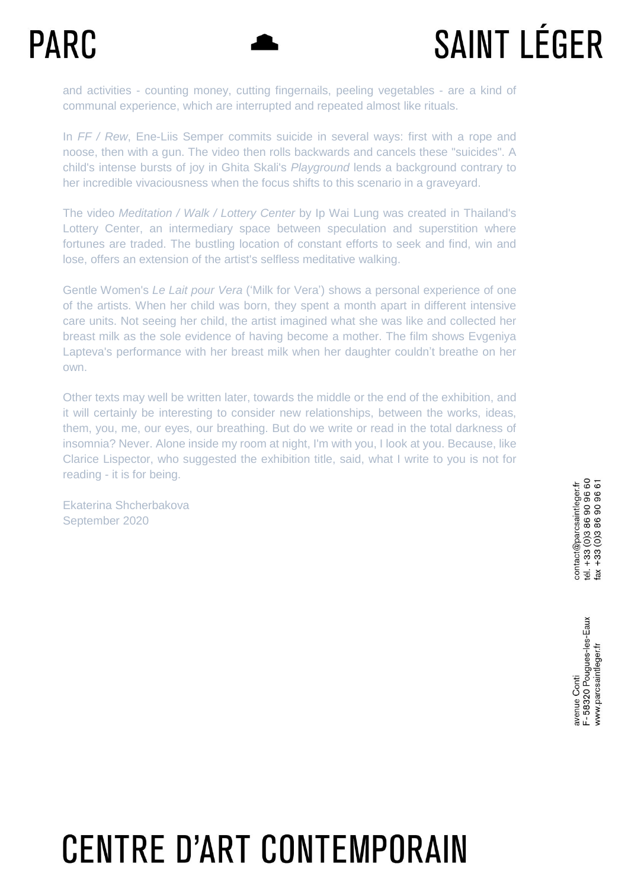# **SAINT LÉGER**

and activities - counting money, cutting fingernails, peeling vegetables - are a kind of communal experience, which are interrupted and repeated almost like rituals.

In *FF / Rew*, Ene-Liis Semper commits suicide in several ways: first with a rope and noose, then with a gun. The video then rolls backwards and cancels these "suicides". A child's intense bursts of joy in Ghita Skali's *Playground* lends a background contrary to her incredible vivaciousness when the focus shifts to this scenario in a graveyard.

The video *Meditation / Walk / Lottery Center* by Ip Wai Lung was created in Thailand's Lottery Center, an intermediary space between speculation and superstition where fortunes are traded. The bustling location of constant efforts to seek and find, win and lose, offers an extension of the artist's selfless meditative walking.

Gentle Women's *Le Lait pour Vera* ('Milk for Vera') shows a personal experience of one of the artists. When her child was born, they spent a month apart in different intensive care units. Not seeing her child, the artist imagined what she was like and collected her breast milk as the sole evidence of having become a mother. The film shows Evgeniya Lapteva's performance with her breast milk when her daughter couldn't breathe on her own.

Other texts may well be written later, towards the middle or the end of the exhibition, and it will certainly be interesting to consider new relationships, between the works, ideas, them, you, me, our eyes, our breathing. But do we write or read in the total darkness of insomnia? Never. Alone inside my room at night, I'm with you, I look at you. Because, like Clarice Lispector, who suggested the exhibition title, said, what I write to you is not for reading - it is for being.

Ekaterina Shcherbakova September 2020

F-58320 Pougues-les-Eaux www.parcsaintleger.fr avenue Conti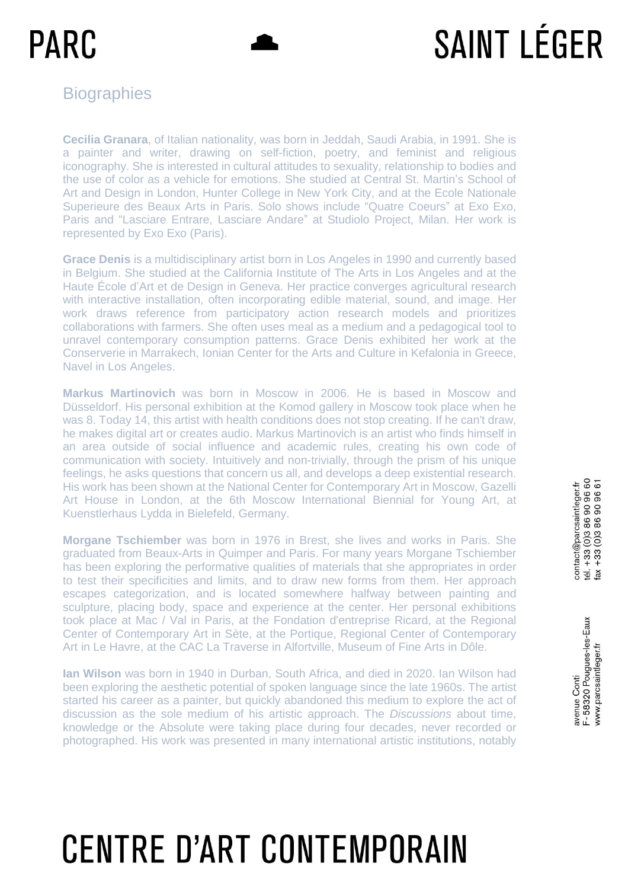# **SAINT LÉGER**

#### **Biographies**

**Cecilia Granara**, of Italian nationality, was born in Jeddah, Saudi Arabia, in 1991. She is a painter and writer, drawing on self-fiction, poetry, and feminist and religious iconography. She is interested in cultural attitudes to sexuality, relationship to bodies and the use of color as a vehicle for emotions. She studied at Central St. Martin's School of Art and Design in London, Hunter College in New York City, and at the Ecole Nationale Superieure des Beaux Arts in Paris. Solo shows include "Quatre Coeurs" at Exo Exo, Paris and "Lasciare Entrare, Lasciare Andare" at Studiolo Project, Milan. Her work is represented by Exo Exo (Paris).

**Grace Denis** is a multidisciplinary artist born in Los Angeles in 1990 and currently based in Belgium. She studied at the California Institute of The Arts in Los Angeles and at the Haute École d'Art et de Design in Geneva. Her practice converges agricultural research with interactive installation, often incorporating edible material, sound, and image. Her work draws reference from participatory action research models and prioritizes collaborations with farmers. She often uses meal as a medium and a pedagogical tool to unravel contemporary consumption patterns. Grace Denis exhibited her work at the Conserverie in Marrakech, Ionian Center for the Arts and Culture in Kefalonia in Greece, Navel in Los Angeles.

**Markus Martinovich** was born in Moscow in 2006. He is based in Moscow and Düsseldorf. His personal exhibition at the Komod gallery in Moscow took place when he was 8. Today 14, this artist with health conditions does not stop creating. If he can't draw, he makes digital art or creates audio. Markus Martinovich is an artist who finds himself in an area outside of social influence and academic rules, creating his own code of communication with society. Intuitively and non-trivially, through the prism of his unique feelings, he asks questions that concern us all, and develops a deep existential research. His work has been shown at the National Center for Contemporary Art in Moscow, Gazelli Art House in London, at the 6th Moscow International Biennial for Young Art, at Kuenstlerhaus Lydda in Bielefeld, Germany.

**Morgane Tschiember** was born in 1976 in Brest, she lives and works in Paris. She graduated from Beaux-Arts in Quimper and Paris. For many years Morgane Tschiember has been exploring the performative qualities of materials that she appropriates in order to test their specificities and limits, and to draw new forms from them. Her approach escapes categorization, and is located somewhere halfway between painting and sculpture, placing body, space and experience at the center. Her personal exhibitions took place at Mac / Val in Paris, at the Fondation d'entreprise Ricard, at the Regional Center of Contemporary Art in Sète, at the Portique, Regional Center of Contemporary Art in Le Havre, at the CAC La Traverse in Alfortville, Museum of Fine Arts in Dôle.

**Ian Wilson** was born in 1940 in Durban, South Africa, and died in 2020. Ian Wilson had been exploring the aesthetic potential of spoken language since the late 1960s. The artist started his career as a painter, but quickly abandoned this medium to explore the act of discussion as the sole medium of his artistic approach. The *Discussions* about time, knowledge or the Absolute were taking place during four decades, never recorded or photographed. His work was presented in many international artistic institutions, notably

# contact@parcsaintleger.fr<br>tél. +33 (0)3 86 90 96 60<br>fax +33 (0)3 86 90 96 61

F-58320 Pougues-les-Eaux www.parcsaintleger.fr avenue Conti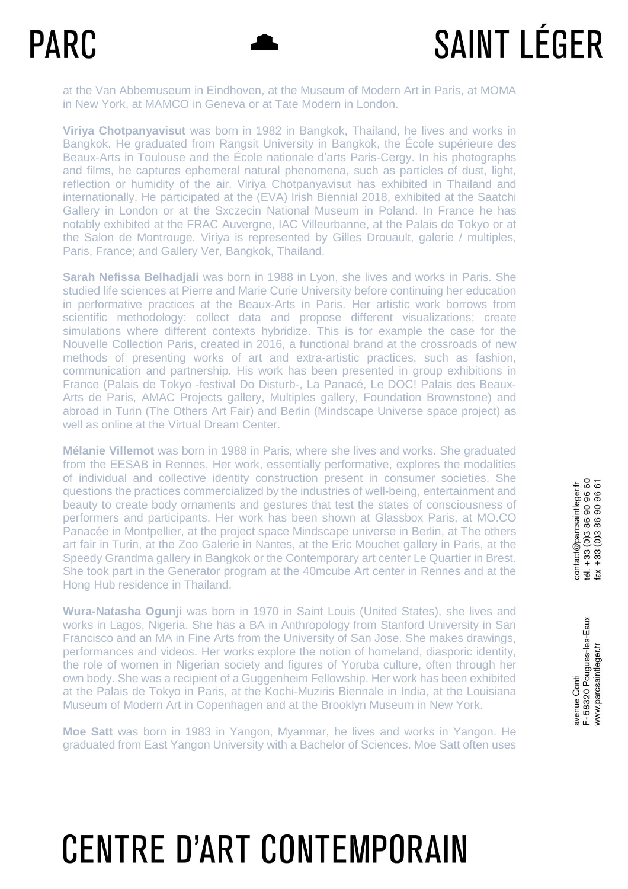# **SAINT LÉGER**

at the Van Abbemuseum in Eindhoven, at the Museum of Modern Art in Paris, at MOMA in New York, at MAMCO in Geneva or at Tate Modern in London.

**Viriya Chotpanyavisut** was born in 1982 in Bangkok, Thailand, he lives and works in Bangkok. He graduated from Rangsit University in Bangkok, the École supérieure des Beaux-Arts in Toulouse and the École nationale d'arts Paris-Cergy. In his photographs and films, he captures ephemeral natural phenomena, such as particles of dust, light, reflection or humidity of the air. Viriya Chotpanyavisut has exhibited in Thailand and internationally. He participated at the (EVA) Irish Biennial 2018, exhibited at the Saatchi Gallery in London or at the Sxczecin National Museum in Poland. In France he has notably exhibited at the FRAC Auvergne, IAC Villeurbanne, at the Palais de Tokyo or at the Salon de Montrouge. Viriya is represented by Gilles Drouault, galerie / multiples, Paris, France; and Gallery Ver, Bangkok, Thailand.

**Sarah Nefissa Belhadjali** was born in 1988 in Lyon, she lives and works in Paris. She studied life sciences at Pierre and Marie Curie University before continuing her education in performative practices at the Beaux-Arts in Paris. Her artistic work borrows from scientific methodology: collect data and propose different visualizations; create simulations where different contexts hybridize. This is for example the case for the Nouvelle Collection Paris, created in 2016, a functional brand at the crossroads of new methods of presenting works of art and extra-artistic practices, such as fashion, communication and partnership. His work has been presented in group exhibitions in France (Palais de Tokyo -festival Do Disturb-, La Panacé, Le DOC! Palais des Beaux-Arts de Paris, AMAC Projects gallery, Multiples gallery, Foundation Brownstone) and abroad in Turin (The Others Art Fair) and Berlin (Mindscape Universe space project) as well as online at the Virtual Dream Center.

**Mélanie Villemot** was born in 1988 in Paris, where she lives and works. She graduated from the EESAB in Rennes. Her work, essentially performative, explores the modalities of individual and collective identity construction present in consumer societies. She questions the practices commercialized by the industries of well-being, entertainment and beauty to create body ornaments and gestures that test the states of consciousness of performers and participants. Her work has been shown at Glassbox Paris, at MO.CO Panacée in Montpellier, at the project space Mindscape universe in Berlin, at The others art fair in Turin, at the Zoo Galerie in Nantes, at the Eric Mouchet gallery in Paris, at the Speedy Grandma gallery in Bangkok or the Contemporary art center Le Quartier in Brest. She took part in the Generator program at the 40mcube Art center in Rennes and at the Hong Hub residence in Thailand.

**Wura-Natasha Ogunji** was born in 1970 in Saint Louis (United States), she lives and works in Lagos, Nigeria. She has a BA in Anthropology from Stanford University in San Francisco and an MA in Fine Arts from the University of San Jose. She makes drawings, performances and videos. Her works explore the notion of homeland, diasporic identity, the role of women in Nigerian society and figures of Yoruba culture, often through her own body. She was a recipient of a Guggenheim Fellowship. Her work has been exhibited at the Palais de Tokyo in Paris, at the Kochi-Muziris Biennale in India, at the Louisiana Museum of Modern Art in Copenhagen and at the Brooklyn Museum in New York.

**Moe Satt** was born in 1983 in Yangon, Myanmar, he lives and works in Yangon. He graduated from East Yangon University with a Bachelor of Sciences. Moe Satt often uses